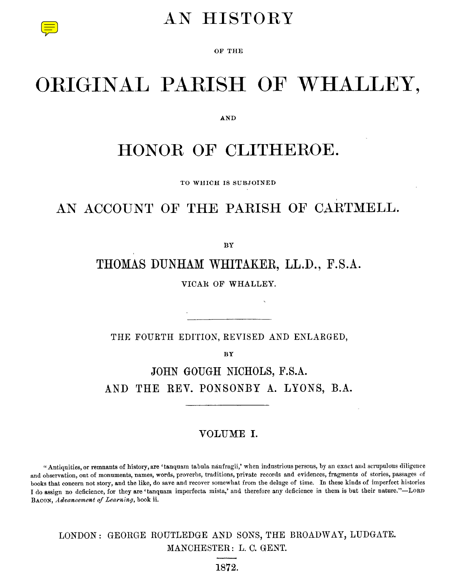## AN HISTORY

OF THE

# ORIGINAL PARISH OF WHALLEY,

AND

## HONOR OF CLITHEROE.

TO WHICH IS SUBJOINED

## AN ACCOUNT OF THE PARISH OF CARTMELL.

BY

THOMAS DUNHAM WHITAKER, LL.D., F.S.A.

VICAR OF WHALLEY.

THE FOURTH EDITION, REVISED AND ENLARGED,

**BY**

JOHN GOUGH NICHOLS, F.S.A. AND THE REV. PONSONBY A. LYONS, B.A.

#### VOLUME I.

Antiquities, or remnants of history, are 'tanquam tabula naufragii,' when industrious persons, by an exact and scrupulous diligence and observation, out of monuments, names, words, proverbs, traditions, private records and evidences, fragments of stories, passages of books that concern not story, and the like, do save and recover somewhat from the deluge of time. In these kinds of imperfect histories I do assign no deficience, for they are 'tanquam imperfecta mista,' and therefore any deficience in them is but their nature."—LORD BACON, *Advancement of Learning,* book ii.

LONDON: GEORGE ROUTLEDGE AND SONS, THE BROADWAY, LUDGATE. MANCHESTER: L. C. GENT.

1872.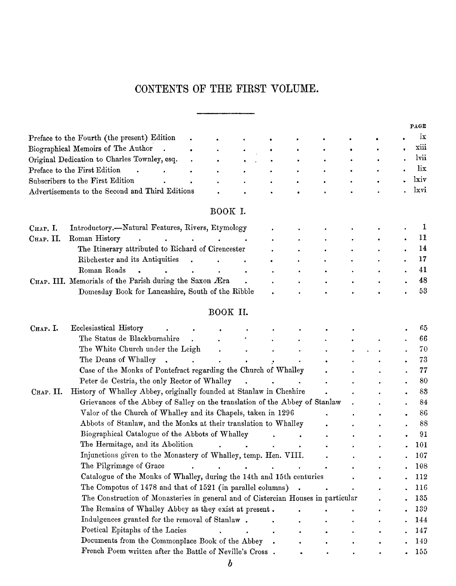### CONTENTS OF THE FIRST VOLUME.

|           | CONTENTS OF THE FIRST VOLUME.                      |           |           |           |           |           |   |   |           |      |
|-----------|----------------------------------------------------|-----------|-----------|-----------|-----------|-----------|---|---|-----------|------|
|           |                                                    |           |           |           |           |           |   |   |           |      |
|           |                                                    |           |           |           |           |           |   |   |           | PAGE |
|           | Preface to the Fourth (the present) Edition        |           |           |           |           |           |   |   |           | ix   |
|           | Biographical Memoirs of The Author                 |           | $\bullet$ | ٠         | $\bullet$ |           | ۰ | ٠ | $\bullet$ | xiii |
|           | Original Dedication to Charles Townley, esq.       |           |           |           |           | $\bullet$ | ٠ | ٠ |           | lvii |
|           | Preface to the First Edition                       | $\bullet$ | $\bullet$ | $\bullet$ | $\bullet$ | $\bullet$ |   |   |           | lix  |
|           | Subscribers to the First Edition                   | $\bullet$ |           |           | ٠         | $\bullet$ | ٠ |   |           | lxiv |
|           | Advertisements to the Second and Third Editions    |           |           |           |           |           |   |   |           | lxvi |
|           |                                                    |           | BOOK I.   |           |           |           |   |   |           |      |
| Снар. I.  | Introductory.--Natural Features, Rivers, Etymology |           |           |           |           |           |   |   |           |      |
| CHAP. II. | Roman History                                      |           |           |           |           |           |   |   |           | 11   |
|           | The Itinerary attributed to Richard of Cirencester |           |           |           |           | $\bullet$ | ٠ |   |           | 14   |
|           | Ribchester and its Antiquities                     |           |           |           |           |           |   |   |           | 17   |
|           |                                                    |           |           |           |           |           |   |   |           |      |

#### BOOK I.

|                                                 | Original Dedication to Charles Townley, esq.            |                |           |           |           |           |           |           |           | lvii |
|-------------------------------------------------|---------------------------------------------------------|----------------|-----------|-----------|-----------|-----------|-----------|-----------|-----------|------|
|                                                 | Preface to the First Edition<br>٠                       | ٠              | ٠<br>٠    |           | ٠         |           |           |           |           | lix  |
|                                                 | Subscribers to the First Edition                        | $\bullet$<br>٠ | ٠         |           |           |           |           |           | lxiv      |      |
| Advertisements to the Second and Third Editions |                                                         |                |           |           |           |           |           |           | lxvi      |      |
|                                                 |                                                         | BOOK I.        |           |           |           |           |           |           |           |      |
| Снар. I.                                        | Introductory.—Natural Features, Rivers, Etymology       |                |           |           |           |           |           |           |           |      |
| CHAP. II.                                       | Roman History<br>$\sim$<br>$\sim$                       |                |           | $\bullet$ |           | ٠         | $\bullet$ | ٠         |           | 11   |
|                                                 | The Itinerary attributed to Richard of Cirencester      |                |           |           | ٠         | ٠         | ٠         | ٠         | $\bullet$ | 14   |
|                                                 | Ribchester and its Antiquities<br>$\bullet$             |                | $\bullet$ | $\bullet$ | ٠         | ٠         | ٠         | $\bullet$ | ٠         | 17   |
|                                                 | Roman Roads                                             |                | ٠         | $\bullet$ | $\bullet$ | $\bullet$ | ٠         | $\bullet$ | $\bullet$ | 41   |
|                                                 | CHAP. III. Memorials of the Parish during the Saxon Æra |                |           |           | ٠         | $\bullet$ | $\bullet$ | ٠         | $\bullet$ | 48   |
|                                                 | Domesday Book for Lancashire, South of the Ribble       |                |           |           |           |           |           |           |           | 53   |
|                                                 |                                                         | BOOK II.       |           |           |           |           |           |           |           |      |
| Снар. I.                                        | Ecclesiastical History                                  |                |           |           |           |           |           |           |           | 65   |
|                                                 | The Status de Blackburnshire                            |                |           |           | $\bullet$ | ٠         | ٠         | $\bullet$ |           | 66   |
|                                                 | The White Church under the Leigh                        |                |           |           |           |           |           |           |           | 70   |
|                                                 |                                                         |                |           |           |           |           |           |           |           |      |

#### BOOK II.

|           | Roman Roads                                                                       |          |  |  |  | 41  |
|-----------|-----------------------------------------------------------------------------------|----------|--|--|--|-----|
|           | CHAP. III. Memorials of the Parish during the Saxon Æra                           |          |  |  |  | 48  |
|           | Domesday Book for Lancashire, South of the Ribble                                 |          |  |  |  | 53  |
|           |                                                                                   |          |  |  |  |     |
|           |                                                                                   | BOOK II. |  |  |  |     |
| Снар. I.  | Ecclesiastical History                                                            |          |  |  |  | 65  |
|           | The Status de Blackburnshire                                                      |          |  |  |  | 66  |
|           | The White Church under the Leigh                                                  |          |  |  |  | 70  |
|           | The Deans of Whalley                                                              |          |  |  |  | 73  |
|           | Case of the Monks of Pontefract regarding the Church of Whalley                   |          |  |  |  | 77  |
|           | Peter de Cestria, the only Rector of Whalley                                      |          |  |  |  | 80  |
| CHAP. II. | History of Whalley Abbey, originally founded at Stanlaw in Cheshire               |          |  |  |  | 88  |
|           | Grievances of the Abbey of Salley on the translation of the Abbey of Stanlaw      |          |  |  |  | 84  |
|           | Valor of the Church of Whalley and its Chapels, taken in 1296                     |          |  |  |  | 86  |
|           | Abbots of Stanlaw, and the Monks at their translation to Whalley                  |          |  |  |  | 88  |
|           | Biographical Catalogue of the Abbots of Whalley                                   |          |  |  |  | 91  |
|           | The Hermitage, and its Abolition                                                  |          |  |  |  | 101 |
|           | Injunctions given to the Monastery of Whalley, temp. Hen. VIII.                   |          |  |  |  | 107 |
|           | The Pilgrimage of Grace                                                           |          |  |  |  | 108 |
|           | Catalogue of the Monks of Whalley, during the 14th and 15th centuries             |          |  |  |  | 112 |
|           | The Compotus of 1478 and that of 1521 (in parallel columns).                      |          |  |  |  | 116 |
|           | The Construction of Monasteries in general and of Cistercian Houses in particular |          |  |  |  | 135 |
|           | The Remains of Whalley Abbey as they exist at present.                            |          |  |  |  | 139 |
|           | Indulgences granted for the removal of Stanlaw.                                   |          |  |  |  | 144 |
|           | Poetical Epitaphs of the Lacies                                                   |          |  |  |  | 147 |
|           | Documents from the Commonplace Book of the Abbey                                  |          |  |  |  | 149 |
|           | French Poem written after the Battle of Neville's Cross.                          |          |  |  |  | 155 |
|           |                                                                                   |          |  |  |  |     |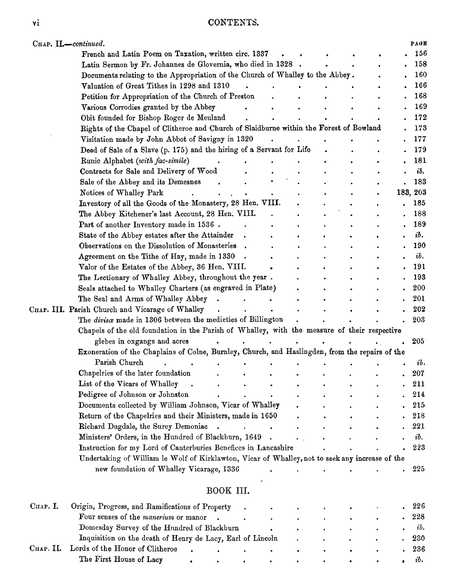| Vİ.       | CONTENTS.                                                                                                              |                      |           |  |    |            |
|-----------|------------------------------------------------------------------------------------------------------------------------|----------------------|-----------|--|----|------------|
|           | CHAP. II.-continued.                                                                                                   |                      |           |  |    | PAGE       |
|           | French and Latin Poem on Taxation, written circ. 1337                                                                  |                      |           |  |    | 156        |
|           | Latin Sermon by Fr. Johannes de Glovernia, who died in 1328 .                                                          |                      |           |  |    | 158        |
|           | Documents relating to the Appropriation of the Church of Whalley to the Abbey.                                         |                      |           |  |    | 160<br>166 |
|           | Valuation of Great Tithes in 1298 and 1310<br>Petition for Appropriation of the Church of Preston                      |                      |           |  |    | 168        |
|           | Various Corrodies granted by the Abbey                                                                                 |                      |           |  |    | 169        |
|           | Obit founded for Bishop Roger de Meuland                                                                               |                      |           |  |    | 172        |
|           | Rights of the Chapel of Clitheroe and Church of Slaidburne within the Forest of Bowland                                |                      |           |  |    | 173        |
|           | Visitation made by John Abbot of Savigny in 1320                                                                       |                      |           |  |    | 177        |
|           | Deed of Sale of a Slave (p. 175) and the hiring of a Servant for Life                                                  |                      |           |  |    | 179        |
|           | Runic Alphabet (with fac-simile)                                                                                       |                      |           |  |    | 181        |
|           | Contracts for Sale and Delivery of Wood                                                                                |                      |           |  |    | ib.        |
|           | Sale of the Abbey and its Demesnes                                                                                     |                      |           |  |    | 183        |
|           | Notices of Whalley Park                                                                                                |                      |           |  |    | 183, 203   |
|           | Inventory of all the Goods of the Monastery, 28 Hen. VIII.                                                             |                      |           |  |    | 185        |
|           | The Abbey Kitchener's last Account, 28 Hen. VIII.                                                                      |                      |           |  |    | 188        |
|           | Part of another Inventory made in 1536.                                                                                |                      |           |  |    | 189        |
|           | State of the Abbey estates after the Attainder                                                                         |                      |           |  |    | ib.        |
|           | Observations on the Dissolution of Monasteries                                                                         |                      |           |  |    | 190<br>ib. |
|           | Agreement on the Tithe of Hay, made in 1330<br>Valor of the Estates of the Abbey, 36 Hen. VIII.                        |                      |           |  |    | 191        |
|           | The Lectionary of Whalley Abbey, throughout the year.                                                                  |                      |           |  |    | 193        |
|           | Seals attached to Whalley Charters (as engraved in Plate)                                                              |                      |           |  |    | 200        |
|           | The Seal and Arms of Whalley Abbey.                                                                                    |                      |           |  |    | 201        |
|           | CHAP. III. Parish Church and Vicarage of Whalley                                                                       |                      |           |  |    | 202        |
|           | The divisce made in 1306 between the medicties of Billington                                                           |                      |           |  |    | 203        |
|           | Chapels of the old foundation in the Parish of Whalley, with the measure of their respective                           |                      |           |  |    |            |
|           | glebes in oxgangs and acres                                                                                            | $\ddot{\phantom{a}}$ |           |  |    | 205        |
|           | Exoneration of the Chaplains of Colne, Burnley, Church, and Haslingden, from the repairs of the                        |                      |           |  |    |            |
|           | Parish Church                                                                                                          |                      |           |  |    | ib.        |
|           | Chapelries of the later foundation                                                                                     |                      |           |  |    | 207        |
|           | List of the Vicars of Whalley                                                                                          |                      |           |  |    | 211        |
|           | Pedigree of Johnson or Johnston                                                                                        |                      |           |  |    | 214        |
|           | Documents collected by William Johnson, Vicar of Whalley<br>Return of the Chapelries and their Ministers, made in 1650 |                      |           |  |    | 215<br>218 |
|           | Richard Dugdale, the Surey Demoniac<br>$\bullet$                                                                       | $\ddot{\phantom{a}}$ | $\bullet$ |  | ò, | 221        |
|           | Ministers' Orders, in the Hundred of Blackburn, 1649.                                                                  |                      |           |  |    | ib.        |
|           | Instruction for my Lord of Canterburies Benefices in Lancashire                                                        |                      |           |  |    | 223        |
|           | Undertaking of William le Wolf of Kirklawton, Vicar of Whalley, not to seek any increase of the                        |                      |           |  |    |            |
|           | new foundation of Whalley Vicarage, 1336                                                                               |                      |           |  |    | 225        |
|           | BOOK III.                                                                                                              |                      |           |  |    |            |
| Спар. I.  |                                                                                                                        |                      |           |  |    | 226        |
|           | Origin, Progress, and Ramifications of Property<br>Four senses of the manerium or manor                                |                      |           |  |    | 228        |
|           | Domesday Survey of the Hundred of Blackburn                                                                            |                      |           |  |    | ib.        |
|           | Inquisition on the death of Henry de Lacy, Earl of Lincoln                                                             |                      |           |  |    | 230        |
| Снар. II. | Lords of the Honor of Clitheroe                                                                                        |                      |           |  |    | 236        |
|           |                                                                                                                        |                      |           |  |    |            |

## BOOK III.

|             | Ministers' Orders, in the Hundred of Blackburn, 1649.                                           |           |           | $\ddot{\phantom{0}}$ |           |           |           |           | ib.   |
|-------------|-------------------------------------------------------------------------------------------------|-----------|-----------|----------------------|-----------|-----------|-----------|-----------|-------|
|             | Instruction for my Lord of Canterburies Benefices in Lancashire                                 |           |           |                      |           |           |           |           | 223   |
|             | Undertaking of William le Wolf of Kirklawton, Vicar of Whalley, not to seek any increase of the |           |           |                      |           |           |           |           |       |
|             | new foundation of Whalley Vicarage, 1336                                                        |           |           |                      |           |           |           |           | 225   |
|             | BOOK III.                                                                                       |           |           |                      |           |           |           |           |       |
| CHAP. I.    | Origin, Progress, and Ramifications of Property                                                 |           | $\bullet$ | $\bullet$            | ٠         |           |           |           | 226   |
|             | Four senses of the manerium or manor                                                            |           | ٠         | $\bullet$            |           | ٠         | ٠         |           | . 228 |
|             | Domesday Survey of the Hundred of Blackburn                                                     |           |           | $\bullet$            | $\bullet$ | $\bullet$ | $\bullet$ | $\bullet$ | ib.   |
|             | Inquisition on the death of Henry de Lacy, Earl of Lincoln                                      |           |           | $\bullet$            | ٠         | ٠         | ٠         | $\bullet$ | 230   |
| $CHAP.$ II. | Lords of the Honor of Clitheroe<br>$\bullet$                                                    | $\bullet$ | ٠         | ٠                    | ٠         | ٠         | ٠         |           | . 236 |
|             | The First House of Lacy<br>٠<br>٠                                                               | $\bullet$ | ٠         | ٠                    | ٠         | ٠         | ٠         | ٠         | ib.   |
|             |                                                                                                 |           |           |                      |           |           |           |           |       |
|             |                                                                                                 |           |           |                      |           |           |           |           |       |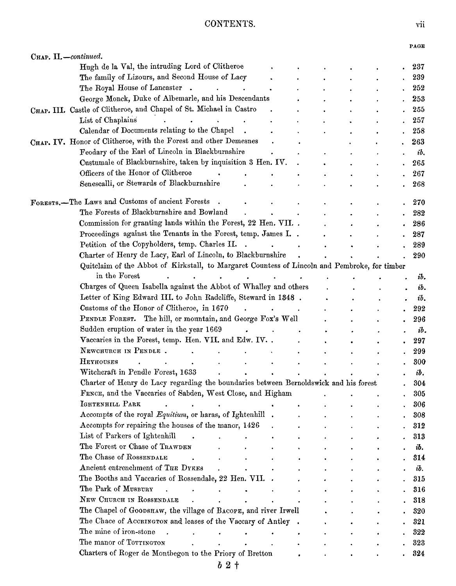#### CONTENTS.

|                                                                                               |        |  |  | PAGE |
|-----------------------------------------------------------------------------------------------|--------|--|--|------|
| Снар. II.-continued.                                                                          |        |  |  |      |
| Hugh de la Val, the intruding Lord of Clitheroe                                               |        |  |  | 237  |
| The family of Lizours, and Second House of Lacy                                               |        |  |  | 239  |
| The Royal House of Lancaster .                                                                |        |  |  | 252  |
| George Monck, Duke of Albemarle, and his Descendants                                          |        |  |  | 253  |
| CHAP. III. Castle of Clitheroe, and Chapel of St. Michael in Castro                           |        |  |  | 255  |
| List of Chaplains                                                                             |        |  |  | 257  |
| Calendar of Documents relating to the Chapel                                                  |        |  |  | 258  |
| CHAP. IV. Honor of Clitheroe, with the Forest and other Demesnes                              |        |  |  | 263  |
| Feodary of the Earl of Lincoln in Blackburnshire                                              |        |  |  | ib.  |
| Custumale of Blackburnshire, taken by inquisition 3 Hen. IV.                                  |        |  |  | 265  |
| Officers of the Honor of Clitheroe                                                            |        |  |  | 267  |
| Senescalli, or Stewards of Blackburnshire                                                     |        |  |  | 268  |
|                                                                                               |        |  |  |      |
| FORESTS.-The Laws and Customs of ancient Forests                                              |        |  |  | 270  |
| The Forests of Blackburnshire and Bowland                                                     |        |  |  | 282  |
| Commission for granting lands within the Forest, 22 Hen. VII                                  |        |  |  | 286  |
| Proceedings against the Tenants in the Forest, temp. James I. .                               |        |  |  | 287  |
| Petition of the Copyholders, temp. Charles II.                                                | $\sim$ |  |  | 289  |
| Charter of Henry de Lacy, Earl of Lincoln, to Blackburnshire                                  |        |  |  | 290  |
| Quitclaim of the Abbot of Kirkstall, to Margaret Countess of Lincoln and Pembroke, for timber |        |  |  |      |
| in the Forest<br>۰                                                                            |        |  |  | ib.  |
| Charges of Queen Isabella against the Abbot of Whalley and others                             |        |  |  | ib.  |
| Letter of King Edward III. to John Radcliffe, Steward in 1348.                                |        |  |  | ib.  |
| Customs of the Honor of Clitheroe, in 1670                                                    |        |  |  | 292  |
| PENDLE FOREST. The hill, or mountain, and George Fox's Well                                   |        |  |  | 296  |
| Sudden eruption of water in the year 1669                                                     |        |  |  | ib.  |
| Vaccaries in the Forest, temp. Hen. VII. and Edw. IV. .                                       |        |  |  | 297  |
| NEWCHURCH IN PENDLE.                                                                          |        |  |  | 299  |
| HEYHOUSES                                                                                     |        |  |  | 300  |
| Witchcraft in Pendle Forest, 1633                                                             |        |  |  | ib.  |
| Charter of Henry de Lacy regarding the boundaries between Bernoldswick and his forest         |        |  |  | 304  |
| FENCE, and the Vaccaries of Sabden, West Close, and Higham                                    |        |  |  | 305  |
| IGHTENHILL PARK<br>$\bullet$                                                                  |        |  |  | 306  |
| Accompts of the royal Equitium, or haras, of Ightenhill.                                      |        |  |  | 308  |
| Accompts for repairing the houses of the manor, 1426                                          |        |  |  | 312  |
| List of Parkers of Ightenhill                                                                 |        |  |  |      |
| The Forest or Chase of TRAWDEN                                                                |        |  |  | 313  |
| The Chase of ROSSENDALE                                                                       |        |  |  | ib.  |
| Ancient entrenchment of THE DYKES                                                             |        |  |  | 314  |
|                                                                                               |        |  |  | ib.  |
| The Booths and Vaccaries of Rossendale, 22 Hen. VII. .<br>The Park of MUSBURY                 |        |  |  | 315  |
|                                                                                               |        |  |  | 316  |
| NEW CHURCH IN ROSSENDALE                                                                      |        |  |  | 318  |
| The Chapel of GOODSHAW, the village of BACOPE, and river Irwell                               |        |  |  | 320  |
| The Chace of ACCRINGTON and leases of the Vaccary of Antley.                                  |        |  |  | 321  |
| The mine of iron-stone                                                                        |        |  |  | 322  |
| The manor of Torrington                                                                       |        |  |  | 323  |
| Charters of Roger de Montbegon to the Priory of Bretton                                       |        |  |  | 324  |
| $b2+$                                                                                         |        |  |  |      |
|                                                                                               |        |  |  |      |